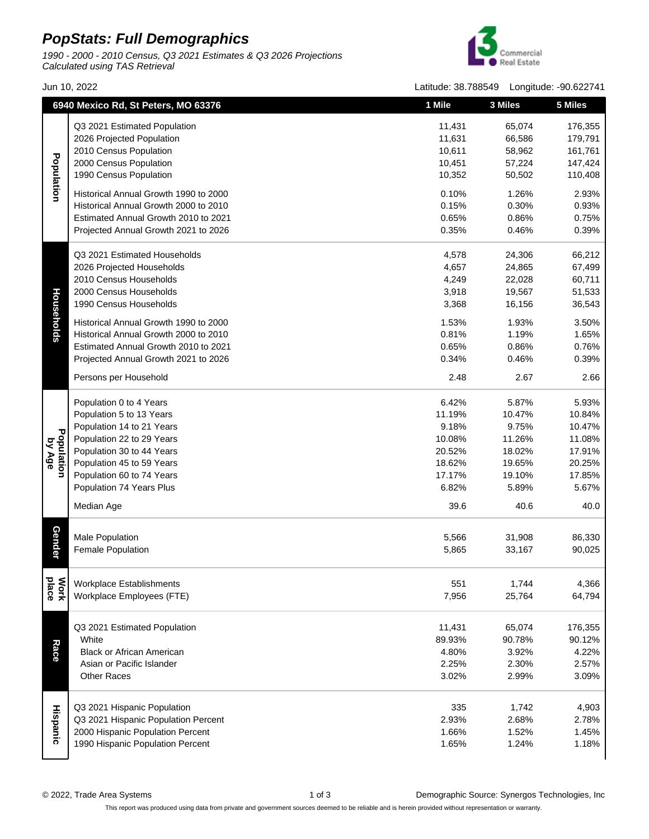## **PopStats: Full Demographics**

1990 - 2000 - 2010 Census, Q3 2021 Estimates & Q3 2026 Projections Calculated using TAS Retrieval



Jun 10, 2022 Latitude: 38.788549 Longitude: -90.622741

|                      | 6940 Mexico Rd, St Peters, MO 63376                   |              | 3 Miles         | 5 Miles         |
|----------------------|-------------------------------------------------------|--------------|-----------------|-----------------|
|                      | Q3 2021 Estimated Population                          | 11,431       | 65,074          | 176,355         |
|                      | 2026 Projected Population                             | 11,631       | 66,586          | 179,791         |
|                      | 2010 Census Population                                | 10,611       | 58,962          | 161,761         |
| Population           | 2000 Census Population                                | 10,451       | 57,224          | 147,424         |
|                      | 1990 Census Population                                | 10,352       | 50,502          | 110,408         |
|                      |                                                       |              |                 |                 |
|                      | Historical Annual Growth 1990 to 2000                 | 0.10%        | 1.26%           | 2.93%           |
|                      | Historical Annual Growth 2000 to 2010                 | 0.15%        | 0.30%           | 0.93%           |
|                      | Estimated Annual Growth 2010 to 2021                  | 0.65%        | 0.86%           | 0.75%           |
|                      | Projected Annual Growth 2021 to 2026                  | 0.35%        | 0.46%           | 0.39%           |
|                      | Q3 2021 Estimated Households                          | 4,578        | 24,306          | 66,212          |
|                      | 2026 Projected Households                             | 4,657        | 24,865          | 67,499          |
|                      | 2010 Census Households                                | 4,249        | 22,028          | 60,711          |
|                      | 2000 Census Households                                | 3,918        | 19,567          | 51,533          |
|                      | 1990 Census Households                                | 3,368        | 16,156          | 36,543          |
| Households           | Historical Annual Growth 1990 to 2000                 | 1.53%        | 1.93%           | 3.50%           |
|                      | Historical Annual Growth 2000 to 2010                 | 0.81%        | 1.19%           | 1.65%           |
|                      | Estimated Annual Growth 2010 to 2021                  | 0.65%        | 0.86%           | 0.76%           |
|                      | Projected Annual Growth 2021 to 2026                  | 0.34%        | 0.46%           | 0.39%           |
|                      | Persons per Household                                 | 2.48         | 2.67            | 2.66            |
|                      |                                                       |              |                 |                 |
|                      | Population 0 to 4 Years                               | 6.42%        | 5.87%           | 5.93%           |
|                      | Population 5 to 13 Years                              | 11.19%       | 10.47%          | 10.84%          |
|                      | Population 14 to 21 Years                             | 9.18%        | 9.75%           | 10.47%          |
|                      | Population 22 to 29 Years                             | 10.08%       | 11.26%          | 11.08%          |
|                      | Population 30 to 44 Years                             | 20.52%       | 18.02%          | 17.91%          |
| Population<br>by Age | Population 45 to 59 Years                             | 18.62%       | 19.65%          | 20.25%          |
|                      | Population 60 to 74 Years                             | 17.17%       | 19.10%          | 17.85%          |
|                      | Population 74 Years Plus                              | 6.82%        | 5.89%           | 5.67%           |
|                      | Median Age                                            | 39.6         | 40.6            | 40.0            |
|                      |                                                       |              |                 |                 |
| Gender               | <b>Male Population</b>                                | 5,566        | 31,908          | 86,330          |
|                      | Female Population                                     | 5,865        | 33,167          | 90,025          |
|                      |                                                       |              |                 |                 |
| place<br><b>Work</b> | Workplace Establishments<br>Workplace Employees (FTE) | 551<br>7,956 | 1,744<br>25,764 | 4,366<br>64,794 |
|                      |                                                       |              |                 |                 |
|                      | Q3 2021 Estimated Population                          | 11,431       | 65,074          | 176,355         |
|                      | White                                                 | 89.93%       | 90.78%          | 90.12%          |
| Race                 | <b>Black or African American</b>                      | 4.80%        | 3.92%           | 4.22%           |
|                      | Asian or Pacific Islander                             | 2.25%        | 2.30%           | 2.57%           |
|                      | <b>Other Races</b>                                    | 3.02%        | 2.99%           | 3.09%           |
| <b>Hispanic</b>      |                                                       |              |                 |                 |
|                      | Q3 2021 Hispanic Population                           | 335          | 1,742           | 4,903           |
|                      | Q3 2021 Hispanic Population Percent                   | 2.93%        | 2.68%           | 2.78%           |
|                      | 2000 Hispanic Population Percent                      | 1.66%        | 1.52%           | 1.45%           |
|                      | 1990 Hispanic Population Percent                      | 1.65%        | 1.24%           | 1.18%           |

© 2022, Trade Area Systems 1 of 3 Demographic Source: Synergos Technologies, Inc

This report was produced using data from private and government sources deemed to be reliable and is herein provided without representation or warranty.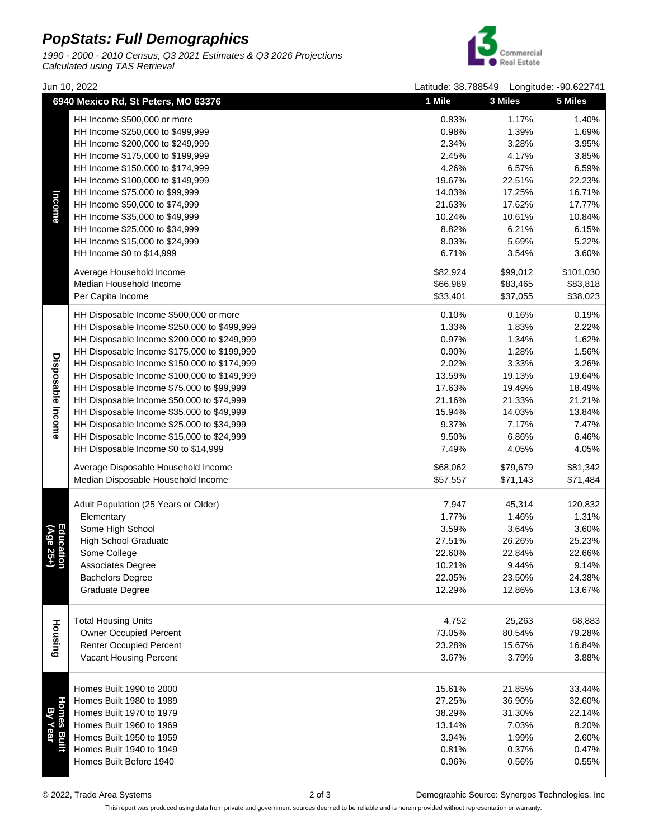## **PopStats: Full Demographics**

1990 - 2000 - 2010 Census, Q3 2021 Estimates & Q3 2026 Projections Calculated using TAS Retrieval



Jun 10, 2022 Latitude: 38.788549 Longitude: -90.622741

|                   | 6940 Mexico Rd, St Peters, MO 63376                                                    | 1 Mile           | 3 Miles         | 5 Miles         |
|-------------------|----------------------------------------------------------------------------------------|------------------|-----------------|-----------------|
|                   | HH Income \$500,000 or more                                                            | 0.83%            | 1.17%           | 1.40%           |
|                   | HH Income \$250,000 to \$499,999                                                       | 0.98%            | 1.39%           | 1.69%           |
|                   | HH Income \$200,000 to \$249,999                                                       | 2.34%            | 3.28%           | 3.95%           |
|                   | HH Income \$175,000 to \$199,999                                                       | 2.45%            | 4.17%           | 3.85%           |
|                   | HH Income \$150,000 to \$174,999                                                       | 4.26%            | 6.57%           | 6.59%           |
|                   | HH Income \$100,000 to \$149,999                                                       | 19.67%           | 22.51%          | 22.23%          |
|                   | HH Income \$75,000 to \$99,999                                                         | 14.03%           | 17.25%          | 16.71%          |
| Income            | HH Income \$50,000 to \$74,999                                                         | 21.63%           | 17.62%          | 17.77%          |
|                   | HH Income \$35,000 to \$49,999                                                         | 10.24%           | 10.61%          | 10.84%          |
|                   | HH Income \$25,000 to \$34,999                                                         | 8.82%            | 6.21%           | 6.15%           |
|                   | HH Income \$15,000 to \$24,999                                                         | 8.03%            | 5.69%           | 5.22%           |
|                   | HH Income \$0 to \$14,999                                                              | 6.71%            | 3.54%           | 3.60%           |
|                   | Average Household Income                                                               | \$82,924         | \$99,012        | \$101,030       |
|                   | Median Household Income                                                                | \$66,989         | \$83,465        | \$83,818        |
|                   | Per Capita Income                                                                      | \$33,401         | \$37,055        | \$38,023        |
|                   | HH Disposable Income \$500,000 or more                                                 | 0.10%            | 0.16%           | 0.19%           |
|                   | HH Disposable Income \$250,000 to \$499,999                                            | 1.33%            | 1.83%           | 2.22%           |
|                   | HH Disposable Income \$200,000 to \$249,999                                            | 0.97%            | 1.34%           | 1.62%           |
|                   | HH Disposable Income \$175,000 to \$199,999                                            | 0.90%            | 1.28%           | 1.56%           |
|                   | HH Disposable Income \$150,000 to \$174,999                                            | 2.02%            | 3.33%           | 3.26%           |
|                   | HH Disposable Income \$100,000 to \$149,999                                            | 13.59%           | 19.13%          | 19.64%          |
| Disposable Income | HH Disposable Income \$75,000 to \$99,999                                              | 17.63%           | 19.49%          | 18.49%          |
|                   | HH Disposable Income \$50,000 to \$74,999                                              | 21.16%           | 21.33%          | 21.21%          |
|                   | HH Disposable Income \$35,000 to \$49,999                                              | 15.94%           | 14.03%          | 13.84%          |
|                   | HH Disposable Income \$25,000 to \$34,999<br>HH Disposable Income \$15,000 to \$24,999 | 9.37%<br>9.50%   | 7.17%<br>6.86%  | 7.47%<br>6.46%  |
|                   | HH Disposable Income \$0 to \$14,999                                                   | 7.49%            | 4.05%           | 4.05%           |
|                   |                                                                                        |                  |                 |                 |
|                   | Average Disposable Household Income                                                    | \$68,062         | \$79,679        | \$81,342        |
|                   | Median Disposable Household Income                                                     | \$57,557         | \$71,143        | \$71,484        |
|                   | Adult Population (25 Years or Older)                                                   | 7,947            | 45,314          | 120,832         |
|                   | Elementary                                                                             | 1.77%            | 1.46%           | 1.31%           |
|                   | Some High School                                                                       | 3.59%            | 3.64%           | 3.60%           |
| (Age              | <b>High School Graduate</b>                                                            | 27.51%           | 26.26%          | 25.23%          |
| atior<br>25+)     | Some College                                                                           | 22.60%           | 22.84%          | 22.66%          |
|                   | Associates Degree                                                                      | 10.21%           | 9.44%           | 9.14%           |
|                   | <b>Bachelors Degree</b>                                                                | 22.05%           | 23.50%          | 24.38%          |
|                   | Graduate Degree                                                                        | 12.29%           | 12.86%          | 13.67%          |
|                   |                                                                                        |                  |                 |                 |
|                   | <b>Total Housing Units</b>                                                             | 4,752            | 25,263          | 68,883          |
| Housing           | <b>Owner Occupied Percent</b>                                                          | 73.05%           | 80.54%          | 79.28%          |
|                   | <b>Renter Occupied Percent</b>                                                         | 23.28%           | 15.67%          | 16.84%          |
|                   | Vacant Housing Percent                                                                 | 3.67%            | 3.79%           | 3.88%           |
| Homes<br>Κg       |                                                                                        |                  |                 |                 |
|                   | Homes Built 1990 to 2000<br>Homes Built 1980 to 1989                                   | 15.61%<br>27.25% | 21.85%          | 33.44%          |
|                   | Homes Built 1970 to 1979                                                               |                  | 36.90%          | 32.60%          |
|                   | Homes Built 1960 to 1969                                                               | 38.29%<br>13.14% | 31.30%<br>7.03% | 22.14%<br>8.20% |
|                   | Homes Built 1950 to 1959                                                               | 3.94%            | 1.99%           | 2.60%           |
|                   | Homes Built 1940 to 1949                                                               | 0.81%            | 0.37%           | 0.47%           |
|                   | Homes Built Before 1940                                                                | 0.96%            | 0.56%           | 0.55%           |
|                   |                                                                                        |                  |                 |                 |

© 2022, Trade Area Systems 2 of 3 Demographic Source: Synergos Technologies, Inc

This report was produced using data from private and government sources deemed to be reliable and is herein provided without representation or warranty.